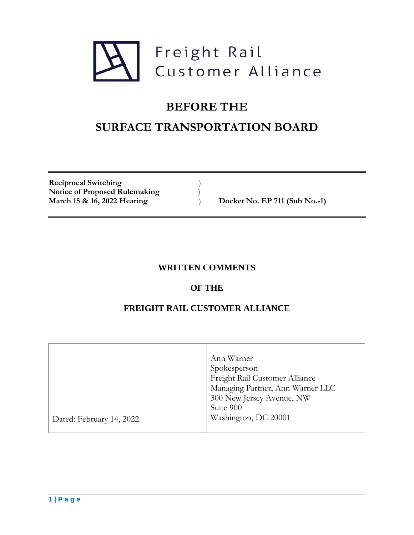

# **BEFORE THE SURFACE TRANSPORTATION BOARD**

**Reciprocal Switching** ) Notice of Proposed Rulemaking<br>March 15 & 16, 2022 Hearing  $)$ 

**March 15 & 16, 2022 Hearing** ) **Docket No. EP 711 (Sub No.-1)**

## **WRITTEN COMMENTS**

### **OF THE**

## **FREIGHT RAIL CUSTOMER ALLIANCE**

|                          | Ann Warner                       |
|--------------------------|----------------------------------|
|                          | Spokesperson                     |
|                          | Freight Rail Customer Alliance   |
|                          | Managing Partner, Ann Warner LLC |
|                          | 300 New Jersey Avenue, NW        |
|                          | Suite 900                        |
| Dated: February 14, 2022 | Washington, DC 20001             |
|                          |                                  |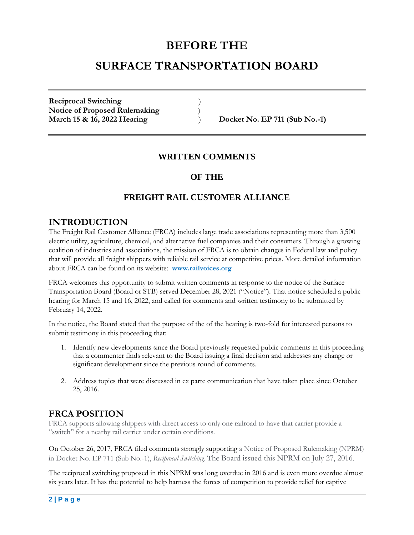## **BEFORE THE SURFACE TRANSPORTATION BOARD**

**Reciprocal Switching** ) **Notice of Proposed Rulemaking** ) **March 15 & 16, 2022 Hearing** ) **Docket No. EP 711 (Sub No.-1)**

#### **WRITTEN COMMENTS**

#### **OF THE**

### **FREIGHT RAIL CUSTOMER ALLIANCE**

#### **INTRODUCTION**

The Freight Rail Customer Alliance (FRCA) includes large trade associations representing more than 3,500 electric utility, agriculture, chemical, and alternative fuel companies and their consumers. Through a growing coalition of industries and associations, the mission of FRCA is to obtain changes in Federal law and policy that will provide all freight shippers with reliable rail service at competitive prices. More detailed information about FRCA can be found on its website: **www.railvoices.org**

FRCA welcomes this opportunity to submit written comments in response to the notice of the Surface Transportation Board (Board or STB) served December 28, 2021 ("Notice"). That notice scheduled a public hearing for March 15 and 16, 2022, and called for comments and written testimony to be submitted by February 14, 2022.

In the notice, the Board stated that the purpose of the of the hearing is two-fold for interested persons to submit testimony in this proceeding that:

- 1. Identify new developments since the Board previously requested public comments in this proceeding that a commenter finds relevant to the Board issuing a final decision and addresses any change or significant development since the previous round of comments.
- 2. Address topics that were discussed in ex parte communication that have taken place since October 25, 2016.

### **FRCA POSITION**

FRCA supports allowing shippers with direct access to only one railroad to have that carrier provide a "switch" for a nearby rail carrier under certain conditions.

On October 26, 2017, FRCA filed comments strongly supporting a Notice of Proposed Rulemaking (NPRM) in Docket No. EP 711 (Sub No.-1), *Reciprocal Switching*. The Board issued this NPRM on July 27, 2016.

The reciprocal switching proposed in this NPRM was long overdue in 2016 and is even more overdue almost six years later. It has the potential to help harness the forces of competition to provide relief for captive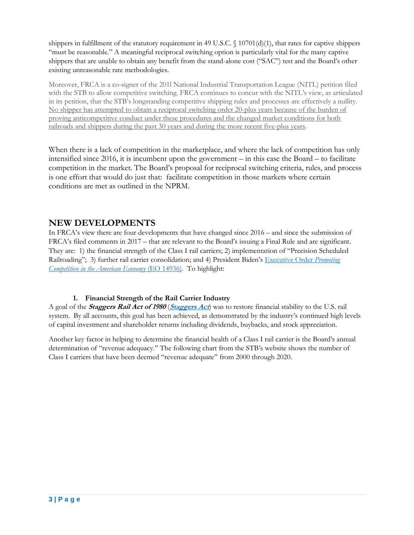shippers in fulfillment of the statutory requirement in 49 U.S.C.  $\{(10701(d)(1), \text{that rates for capture shippers})\}$ "must be reasonable." A meaningful reciprocal switching option is particularly vital for the many captive shippers that are unable to obtain any benefit from the stand-alone cost ("SAC") test and the Board's other existing unreasonable rate methodologies.

Moreover, FRCA is a co-signer of the 201l National Industrial Transportation League (NITL) petition filed with the STB to allow competitive switching. FRCA continues to concur with the NITL's view, as articulated in its petition, that the STB's longstanding competitive shipping rules and processes are effectively a nullity. No shipper has attempted to obtain a reciprocal switching order 20-plus years because of the burden of proving anticompetitive conduct under these procedures and the changed market conditions for both railroads and shippers during the past 30 years and during the more recent five-plus years.

When there is a lack of competition in the marketplace, and where the lack of competition has only intensified since 2016, it is incumbent upon the government – in this case the Board – to facilitate competition in the market. The Board's proposal for reciprocal switching criteria, rules, and process is one effort that would do just that: facilitate competition in those markets where certain conditions are met as outlined in the NPRM.

#### **NEW DEVELOPMENTS**

In FRCA's view there are four developments that have changed since 2016 – and since the submission of FRCA's filed comments in 2017 – that are relevant to the Board's issuing a Final Rule and are significant. They are: 1) the financial strength of the Class I rail carriers; 2) implementation of "Precision Scheduled Railroading"; 3) further rail carrier consolidation; and 4) President Biden's [Executive Order](https://www.whitehouse.gov/briefing-room/presidential-actions/2021/07/09/executive-order-on-promoting-competition-in-the-american-econ) *Promoting [Competition in the American Economy](https://www.whitehouse.gov/briefing-room/presidential-actions/2021/07/09/executive-order-on-promoting-competition-in-the-american-econ)* (EO 14936). To highlight:

#### **1. Financial Strength of the Rail Carrier Industry**

A goal of the **Staggers Rail Act of 1980** (**[Staggers Act](https://www.congress.gov/bill/96th-congress/senate-bill/1946)**) was to restore financial stability to the U.S. rail system. By all accounts, this goal has been achieved, as demonstrated by the industry's continued high levels of capital investment and shareholder returns including dividends, buybacks, and stock appreciation.

Another key factor in helping to determine the financial health of a Class I rail carrier is the Board's annual determination of "revenue adequacy." The following chart from the STB's website shows the number of Class I carriers that have been deemed "revenue adequate" from 2000 through 2020.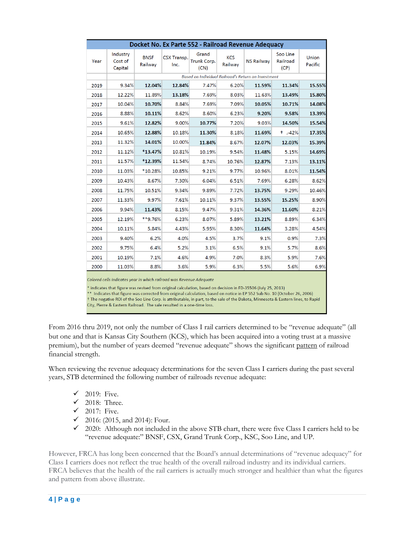| Docket No. Ex Parte 552 - Railroad Revenue Adequacy |                                |                        |                            |                                                     |                       |                   |                              |                         |
|-----------------------------------------------------|--------------------------------|------------------------|----------------------------|-----------------------------------------------------|-----------------------|-------------------|------------------------------|-------------------------|
| Year                                                | Industry<br>Cost of<br>Capital | <b>BNSF</b><br>Railway | <b>CSX Transp.</b><br>Inc. | Grand<br>Trunk Corp.<br>(CN)                        | <b>KCS</b><br>Railway | <b>NS Railway</b> | Soo Line<br>Railroad<br>(CP) | <b>Union</b><br>Pacific |
|                                                     |                                |                        |                            | Based on Individual Railroad's Return on Investment |                       |                   |                              |                         |
| 2019                                                | 9.34%                          | 12.04%                 | 12.84%                     | 7.47%                                               | 6.20%                 | 11.59%            | 11.34%                       | 15.55%                  |
| 2018                                                | 12.22%                         | 11.89%                 | 13.18%                     | 7.69%                                               | 8.03%                 | 11.63%            | 13.49%                       | 15.80%                  |
| 2017                                                | 10.04%                         | 10.70%                 | 8.84%                      | 7.69%                                               | 7.09%                 | 10.05%            | 10.71%                       | 14.08%                  |
| 2016                                                | 8.88%                          | 10.11%                 | 8.62%                      | 8.60%                                               | 6.23%                 | 9.20%             | 9.58%                        | 13.39%                  |
| 2015                                                | 9.61%                          | 12.82%                 | 9.00%                      | 10.77%                                              | 7.20%                 | 9.03%             | 14.50%                       | 15.54%                  |
| 2014                                                | 10.65%                         | 12.88%                 | 10.18%                     | 11.30%                                              | 8.18%                 | 11.69%            | $+$ . 42%                    | 17.35%                  |
| 2013                                                | 11.32%                         | 14.01%                 | 10.00%                     | 11.84%                                              | 8.67%                 | 12.07%            | 12.03%                       | 15.39%                  |
| 2012                                                | 11.12%                         | *13.47%                | 10.81%                     | 10.19%                                              | 9.54%                 | 11.48%            | 5.15%                        | 14.69%                  |
| 2011                                                | 11.57%                         | *12.39%                | 11.54%                     | 8.74%                                               | 10.76%                | 12.87%            | 7.13%                        | 13.11%                  |
| 2010                                                | 11.03%                         | $*10.28%$              | 10.85%                     | 9.21%                                               | 9.77%                 | 10.96%            | 8.01%                        | 11.54%                  |
| 2009                                                | 10.43%                         | 8.67%                  | 7.30%                      | 6.04%                                               | 6.51%                 | 7.69%             | 6.28%                        | 8.62%                   |
| 2008                                                | 11.75%                         | 10.51%                 | 9.34%                      | 9.89%                                               | 7.72%                 | 13.75%            | 9.29%                        | 10.46%                  |
| 2007                                                | 11.33%                         | 9.97%                  | 7.61%                      | 10.11%                                              | 9.37%                 | 13.55%            | 15.25%                       | 8.90%                   |
| 2006                                                | 9.94%                          | 11.43%                 | 8.15%                      | 9.47%                                               | 9.31%                 | 14.36%            | 11.60%                       | 8.21%                   |
| 2005                                                | 12.19%                         | **9.76%                | 6.23%                      | 8.07%                                               | 5.89%                 | 13.21%            | 8.89%                        | 6.34%                   |
| 2004                                                | 10.11%                         | 5.84%                  | 4.43%                      | 5.95%                                               | 8.30%                 | 11.64%            | 3.28%                        | 4.54%                   |
| 2003                                                | 9.40%                          | 6.2%                   | 4.0%                       | 4.5%                                                | 3.7%                  | 9.1%              | 0.9%                         | 7.3%                    |
| 2002                                                | 9.75%                          | 6.4%                   | 5.2%                       | 3.1%                                                | 6.5%                  | 9.1%              | 5.7%                         | 8.6%                    |
| 2001                                                | 10.19%                         | 7.1%                   | 4.6%                       | 4.9%                                                | 7.0%                  | 8.3%              | 5.9%                         | 7.6%                    |
| 2000                                                | 11.03%                         | 8.8%                   | 3.6%                       | 5.9%                                                | 6.3%                  | 5.5%              | 5.6%                         | 6.9%                    |

Colored cells indicates year in which railroad was Revenue Adequate

\* indicates that figure was revised from original calculation, based on decision in FD-35506 (July 25, 2013)

\*\* Indicates that figure was corrected from original calculation, based on notice in EP 552 Sub No. 10 (October 26, 2006)

† The negative ROI of the Soo Line Corp. is attributable, in part, to the sale of the Dakota, Minnesota & Eastern lines, to Rapid

City, Pierre & Eastern Railroad. The sale resulted in a one-time loss.

From 2016 thru 2019, not only the number of Class I rail carriers determined to be "revenue adequate" (all but one and that is Kansas City Southern (KCS), which has been acquired into a voting trust at a massive premium), but the number of years deemed "revenue adequate" shows the significant pattern of railroad financial strength.

When reviewing the revenue adequacy determinations for the seven Class I carriers during the past several years, STB determined the following number of railroads revenue adequate:

- $\checkmark$  2019: Five.
- $\checkmark$  2018: Three.
- $\checkmark$  2017: Five.
- $\checkmark$  2016: (2015, and 2014): Four.
- ✓ 2020: Although not included in the above STB chart, there were five Class I carriers held to be "revenue adequate:" BNSF, CSX, Grand Trunk Corp., KSC, Soo Line, and UP.

However, FRCA has long been concerned that the Board's annual determinations of "revenue adequacy" for Class I carriers does not reflect the true health of the overall railroad industry and its individual carriers. FRCA believes that the health of the rail carriers is actually much stronger and healthier than what the figures and pattern from above illustrate.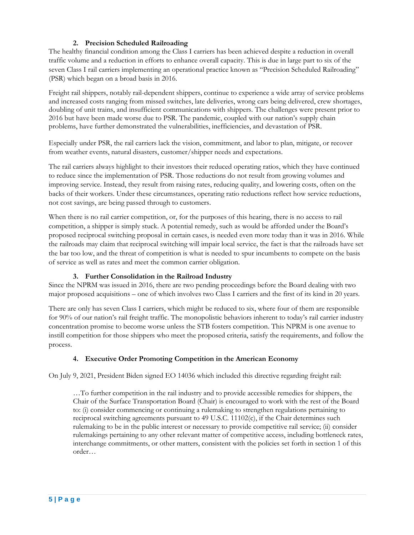#### **2. Precision Scheduled Railroading**

The healthy financial condition among the Class I carriers has been achieved despite a reduction in overall traffic volume and a reduction in efforts to enhance overall capacity. This is due in large part to six of the seven Class I rail carriers implementing an operational practice known as "Precision Scheduled Railroading" (PSR) which began on a broad basis in 2016.

Freight rail shippers, notably rail-dependent shippers, continue to experience a wide array of service problems and increased costs ranging from missed switches, late deliveries, wrong cars being delivered, crew shortages, doubling of unit trains, and insufficient communications with shippers. The challenges were present prior to 2016 but have been made worse due to PSR. The pandemic, coupled with our nation's supply chain problems, have further demonstrated the vulnerabilities, inefficiencies, and devastation of PSR.

Especially under PSR, the rail carriers lack the vision, commitment, and labor to plan, mitigate, or recover from weather events, natural disasters, customer/shipper needs and expectations.

The rail carriers always highlight to their investors their reduced operating ratios, which they have continued to reduce since the implementation of PSR. Those reductions do not result from growing volumes and improving service. Instead, they result from raising rates, reducing quality, and lowering costs, often on the backs of their workers. Under these circumstances, operating ratio reductions reflect how service reductions, not cost savings, are being passed through to customers.

When there is no rail carrier competition, or, for the purposes of this hearing, there is no access to rail competition, a shipper is simply stuck. A potential remedy, such as would be afforded under the Board's proposed reciprocal switching proposal in certain cases, is needed even more today than it was in 2016. While the railroads may claim that reciprocal switching will impair local service, the fact is that the railroads have set the bar too low, and the threat of competition is what is needed to spur incumbents to compete on the basis of service as well as rates and meet the common carrier obligation.

#### **3. Further Consolidation in the Railroad Industry**

Since the NPRM was issued in 2016, there are two pending proceedings before the Board dealing with two major proposed acquisitions – one of which involves two Class I carriers and the first of its kind in 20 years.

There are only has seven Class I carriers, which might be reduced to six, where four of them are responsible for 90% of our nation's rail freight traffic. The monopolistic behaviors inherent to today's rail carrier industry concentration promise to become worse unless the STB fosters competition. This NPRM is one avenue to instill competition for those shippers who meet the proposed criteria, satisfy the requirements, and follow the process.

#### **4. Executive Order Promoting Competition in the American Economy**

On July 9, 2021, President Biden signed EO 14036 which included this directive regarding freight rail:

…To further competition in the rail industry and to provide accessible remedies for shippers, the Chair of the Surface Transportation Board (Chair) is encouraged to work with the rest of the Board to: (i) consider commencing or continuing a rulemaking to strengthen regulations pertaining to reciprocal switching agreements pursuant to 49 U.S.C. 11102(c), if the Chair determines such rulemaking to be in the public interest or necessary to provide competitive rail service; (ii) consider rulemakings pertaining to any other relevant matter of competitive access, including bottleneck rates, interchange commitments, or other matters, consistent with the policies set forth in section 1 of this order…